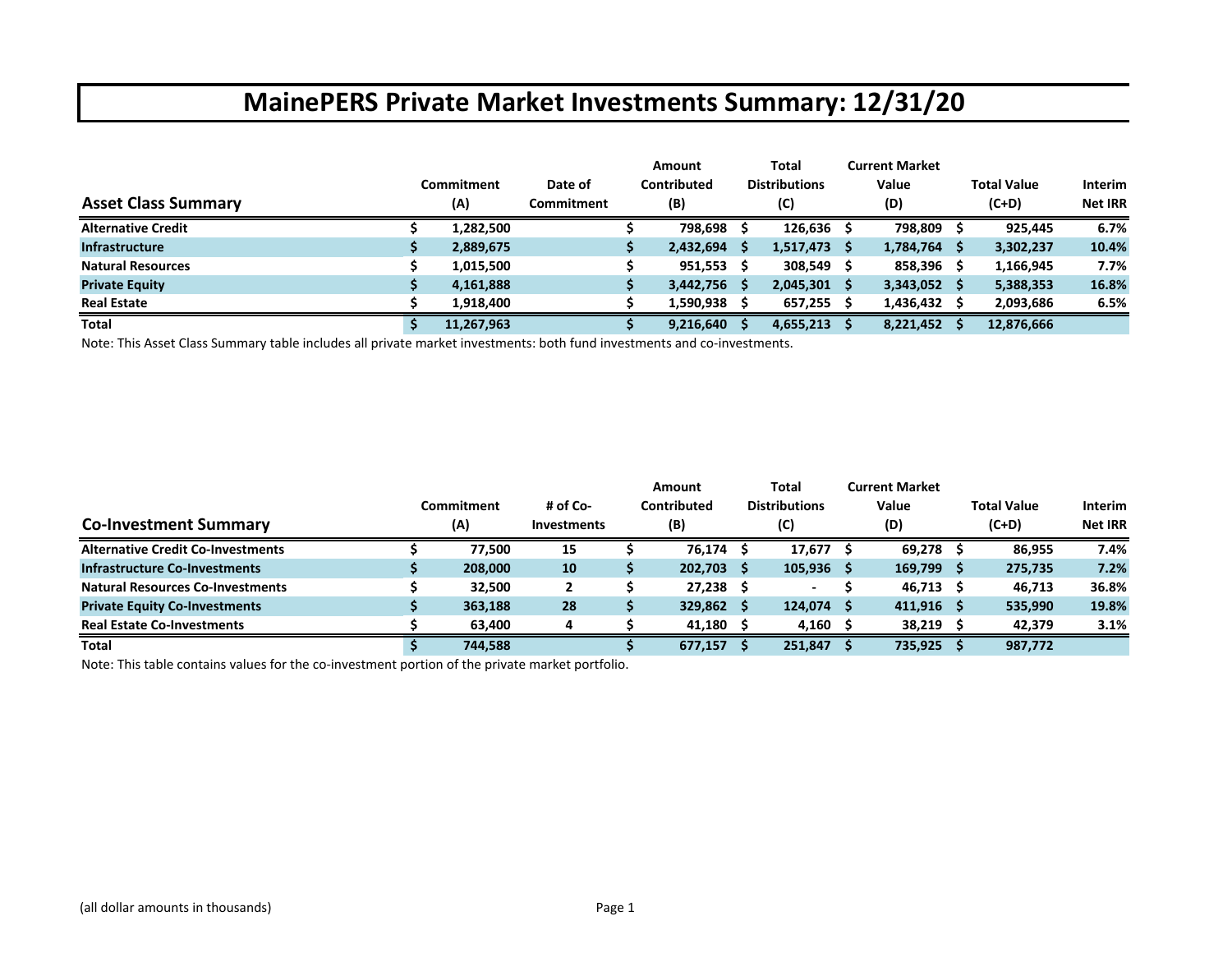|                            |            |                   | Amount      |    | Total                | <b>Current Market</b> |    |                    |                |
|----------------------------|------------|-------------------|-------------|----|----------------------|-----------------------|----|--------------------|----------------|
|                            | Commitment | Date of           | Contributed |    | <b>Distributions</b> | Value                 |    | <b>Total Value</b> | <b>Interim</b> |
| <b>Asset Class Summary</b> | (A)        | <b>Commitment</b> | (B)         |    | (C)                  | (D)                   |    | $(C+D)$            | <b>Net IRR</b> |
| <b>Alternative Credit</b>  | 1,282,500  |                   | 798,698     |    | $126,636$ \$         | 798,809               |    | 925,445            | 6.7%           |
| <b>Infrastructure</b>      | 2,889,675  |                   | 2,432,694   |    | $1,517,473$ \$       | 1,784,764             | -S | 3,302,237          | 10.4%          |
| <b>Natural Resources</b>   | 1,015,500  |                   | 951,553     |    | $308,549$ \$         | 858,396               |    | 1,166,945          | 7.7%           |
| <b>Private Equity</b>      | 4,161,888  |                   | 3,442,756   | -S | $2,045,301$ \$       | $3,343,052$ \$        |    | 5,388,353          | 16.8%          |
| <b>Real Estate</b>         | 1.918.400  |                   | 1,590,938   |    | $657,255$ \$         | $1,436,432$ \$        |    | 2,093,686          | 6.5%           |
| <b>Total</b>               | 11,267,963 |                   | 9,216,640   |    | 4,655,213            | 8,221,452             |    | 12,876,666         |                |

Note: This Asset Class Summary table includes all private market investments: both fund investments and co‐investments.

| <b>Co-Investment Summary</b>             | Commitment<br>(A) | # of Co-<br><b>Investments</b> | Amount<br>Contributed<br>(B) | Total<br><b>Distributions</b><br>(C) | <b>Current Market</b><br>Value<br>(D) | Total Value<br>$(C+D)$ | <b>Interim</b><br><b>Net IRR</b> |
|------------------------------------------|-------------------|--------------------------------|------------------------------|--------------------------------------|---------------------------------------|------------------------|----------------------------------|
| <b>Alternative Credit Co-Investments</b> | 77.500            | 15                             | 76.174                       | $17,677$ \$                          | 69.278 \$                             | 86.955                 | 7.4%                             |
| <b>Infrastructure Co-Investments</b>     | 208,000           | 10                             | 202,703                      | $105,936$ \$                         | $169,799$ \$                          | 275,735                | 7.2%                             |
| <b>Natural Resources Co-Investments</b>  | 32.500            |                                | 27,238                       | $\sim$                               | $46,713$ \$                           | 46.713                 | 36.8%                            |
| <b>Private Equity Co-Investments</b>     | 363,188           | 28                             | 329,862                      | $124,074$ \$                         | $411,916$ \$                          | 535,990                | 19.8%                            |
| <b>Real Estate Co-Investments</b>        | 63,400            | Δ                              | 41,180                       | $4,160$ \$                           | $38,219$ \$                           | 42,379                 | 3.1%                             |
| Total                                    | 744,588           |                                | 677,157                      | 251,847                              | 735,925                               | 987,772                |                                  |

Note: This table contains values for the co‐investment portion of the private market portfolio.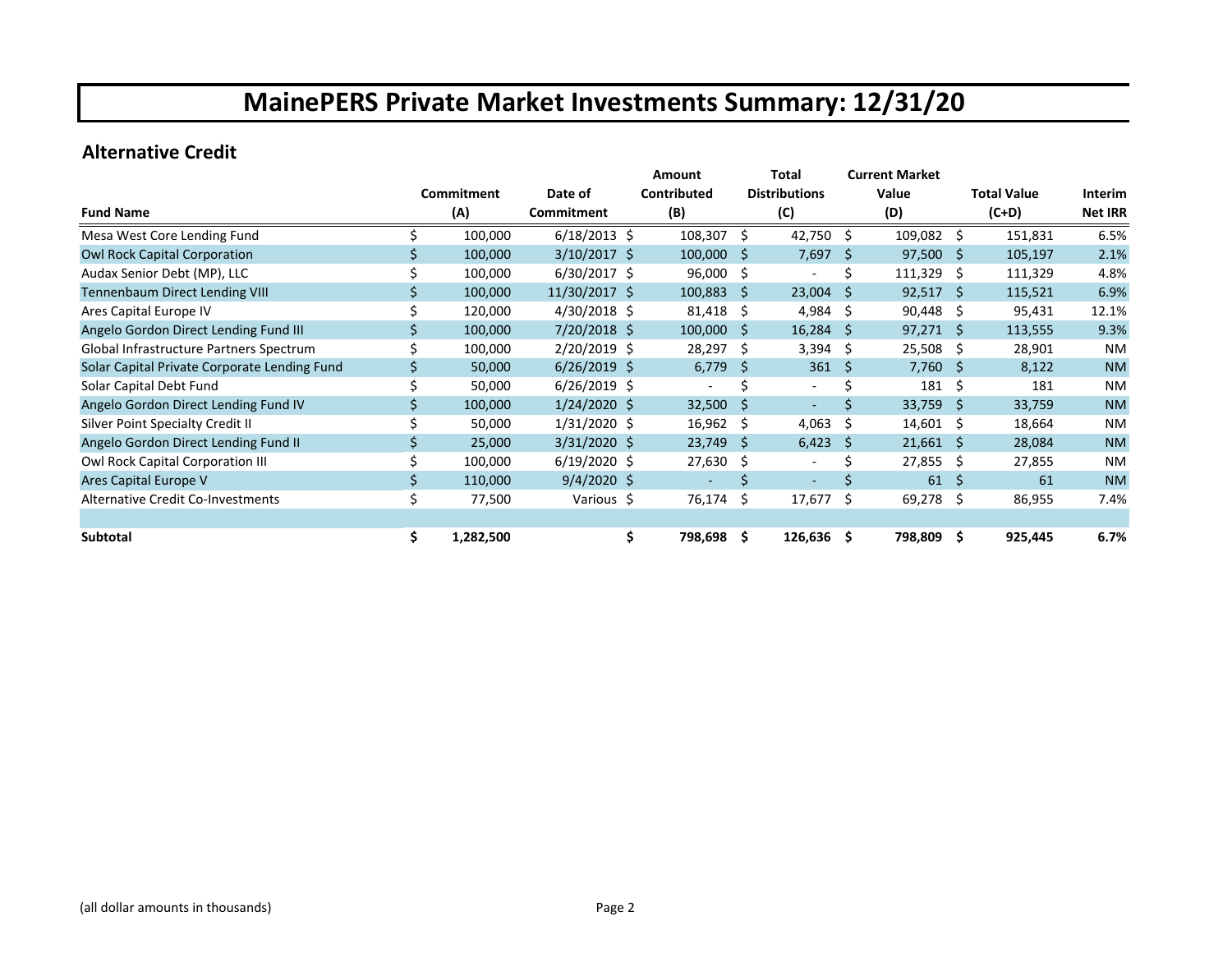### **Alternative Credit**

|                                              |     |            |                | <b>Amount</b>  |              | Total                    |     | <b>Current Market</b> |              |                    |                |
|----------------------------------------------|-----|------------|----------------|----------------|--------------|--------------------------|-----|-----------------------|--------------|--------------------|----------------|
|                                              |     | Commitment | Date of        | Contributed    |              | <b>Distributions</b>     |     | Value                 |              | <b>Total Value</b> | Interim        |
| <b>Fund Name</b>                             |     | (A)        | Commitment     | (B)            |              | (C)                      |     | (D)                   |              | $(C+D)$            | <b>Net IRR</b> |
| Mesa West Core Lending Fund                  |     | 100,000    | $6/18/2013$ \$ | 108,307        | Ŝ.           | $42,750$ \$              |     | 109,082 \$            |              | 151,831            | 6.5%           |
| Owl Rock Capital Corporation                 |     | 100,000    | $3/10/2017$ \$ | 100,000        | S            | 7,697                    | -S  | 97,500                | -Ŝ           | 105,197            | 2.1%           |
| Audax Senior Debt (MP), LLC                  |     | 100,000    | $6/30/2017$ \$ | 96,000         | \$           |                          | Ś   | 111,329               | -Ŝ           | 111,329            | 4.8%           |
| Tennenbaum Direct Lending VIII               |     | 100,000    | 11/30/2017 \$  | 100,883        | Ŝ.           | $23,004$ \$              |     | $92,517$ \$           |              | 115,521            | 6.9%           |
| Ares Capital Europe IV                       |     | 120,000    | $4/30/2018$ \$ | 81,418         | \$           | 4,984 \$                 |     | $90,448$ \$           |              | 95,431             | 12.1%          |
| Angelo Gordon Direct Lending Fund III        |     | 100,000    | $7/20/2018$ \$ | 100,000        | Ŝ            | $16,284$ \$              |     | 97,271                | Ŝ.           | 113,555            | 9.3%           |
| Global Infrastructure Partners Spectrum      |     | 100,000    | 2/20/2019 \$   | 28,297         | Ŝ.           | $3,394$ \$               |     | 25,508                | -S           | 28,901             | NM             |
| Solar Capital Private Corporate Lending Fund |     | 50,000     | $6/26/2019$ \$ | 6,779          | <sub>S</sub> | 361                      | - S | $7,760$ \$            |              | 8,122              | <b>NM</b>      |
| Solar Capital Debt Fund                      |     | 50,000     | $6/26/2019$ \$ |                |              | $\overline{\phantom{a}}$ |     | 181                   | Ŝ.           | 181                | <b>NM</b>      |
| Angelo Gordon Direct Lending Fund IV         |     | 100,000    | $1/24/2020$ \$ | 32,500         | <sub>S</sub> | $\overline{\phantom{a}}$ | Ś   | 33,759                | Ŝ.           | 33,759             | <b>NM</b>      |
| Silver Point Specialty Credit II             |     | 50,000     | $1/31/2020$ \$ | 16,962         | Ŝ.           | 4,063                    | -Ŝ  | 14,601                | Ŝ.           | 18,664             | <b>NM</b>      |
| Angelo Gordon Direct Lending Fund II         |     | 25,000     | $3/31/2020$ \$ | 23,749         | S            | 6,423                    | -S  | 21,661                | <sub>S</sub> | 28,084             | <b>NM</b>      |
| Owl Rock Capital Corporation III             |     | 100,000    | $6/19/2020$ \$ | 27,630         | \$           | $\overline{\phantom{a}}$ | Ś   | 27,855                | -\$          | 27,855             | <b>NM</b>      |
| Ares Capital Europe V                        |     | 110,000    | $9/4/2020$ \$  |                |              |                          |     | 61                    | Ŝ.           | 61                 | <b>NM</b>      |
| Alternative Credit Co-Investments            | \$  | 77,500     | Various \$     | 76,174         | \$           | 17,677                   | -\$ | 69,278                | -\$          | 86,955             | 7.4%           |
|                                              |     |            |                |                |              |                          |     |                       |              |                    |                |
| Subtotal                                     | \$. | 1,282,500  |                | \$.<br>798,698 | \$.          | $126,636$ \$             |     | 798,809 \$            |              | 925,445            | 6.7%           |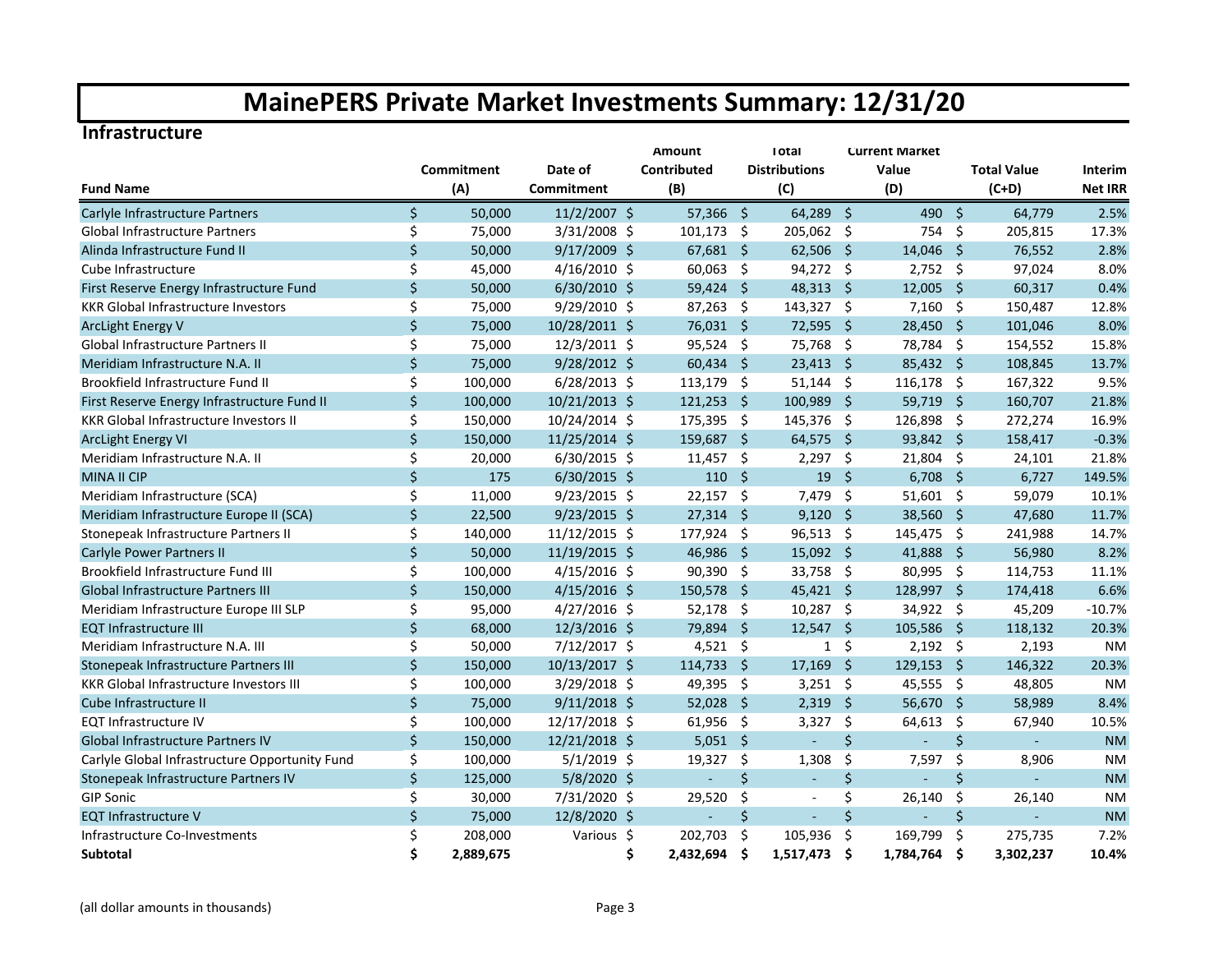#### **Infrastructure**

|                                                |              |            | <b>Amount</b>  |                 |                     |                      | <b>Current Market</b> |             |         |                    |                |
|------------------------------------------------|--------------|------------|----------------|-----------------|---------------------|----------------------|-----------------------|-------------|---------|--------------------|----------------|
|                                                |              | Commitment | Date of        | Contributed     |                     | <b>Distributions</b> |                       | Value       |         | <b>Total Value</b> | Interim        |
| <b>Fund Name</b>                               |              | (A)        | Commitment     | (B)             |                     | (C)                  |                       | (D)         |         | $(C+D)$            | <b>Net IRR</b> |
| Carlyle Infrastructure Partners                | $\mathsf{S}$ | 50,000     | 11/2/2007 \$   | 57,366 \$       |                     | $64,289$ \$          |                       | 490 \$      |         | 64,779             | 2.5%           |
| Global Infrastructure Partners                 | \$           | 75,000     | 3/31/2008 \$   | 101,173         | - \$                | 205,062 \$           |                       | 754         | - \$    | 205,815            | 17.3%          |
| Alinda Infrastructure Fund II                  | \$           | 50,000     | 9/17/2009 \$   | $67,681$ \$     |                     | $62,506$ \$          |                       | 14,046 \$   |         | 76,552             | 2.8%           |
| Cube Infrastructure                            | \$           | 45,000     | $4/16/2010$ \$ | 60,063          | - \$                | 94,272 \$            |                       | $2,752$ \$  |         | 97,024             | 8.0%           |
| First Reserve Energy Infrastructure Fund       | \$           | 50,000     | $6/30/2010$ \$ | 59,424          | - \$                | 48,313 \$            |                       | 12,005      | - \$    | 60,317             | 0.4%           |
| <b>KKR Global Infrastructure Investors</b>     | \$           | 75,000     | $9/29/2010$ \$ | 87,263          | -\$                 | 143,327 \$           |                       | $7,160$ \$  |         | 150,487            | 12.8%          |
| <b>ArcLight Energy V</b>                       | $\zeta$      | 75,000     | 10/28/2011 \$  | 76,031 \$       |                     | 72,595               | - \$                  | 28,450      | -\$     | 101,046            | 8.0%           |
| Global Infrastructure Partners II              | \$           | 75,000     | 12/3/2011 \$   | 95,524          | -\$                 | 75,768               | -\$                   | 78,784      | - \$    | 154,552            | 15.8%          |
| Meridiam Infrastructure N.A. II                | $\zeta$      | 75,000     | 9/28/2012 \$   | 60,434          | $\ddot{\mathsf{s}}$ | 23,413               | $\ddot{\mathsf{s}}$   | 85,432 \$   |         | 108,845            | 13.7%          |
| Brookfield Infrastructure Fund II              | \$           | 100,000    | $6/28/2013$ \$ | 113,179         | \$                  | $51,144$ \$          |                       | 116,178     | - \$    | 167,322            | 9.5%           |
| First Reserve Energy Infrastructure Fund II    | $\zeta$      | 100,000    | 10/21/2013 \$  | 121,253         | - \$                | 100,989              | $\ddot{\mathsf{s}}$   | 59,719 \$   |         | 160,707            | 21.8%          |
| KKR Global Infrastructure Investors II         | Ś.           | 150,000    | 10/24/2014 \$  | 175,395         | -\$                 | 145,376              | - \$                  | 126,898     | -\$     | 272,274            | 16.9%          |
| <b>ArcLight Energy VI</b>                      | $\mathsf{S}$ | 150,000    | 11/25/2014 \$  | 159,687         | $\ddot{\mathsf{S}}$ | 64,575               | - \$                  | 93,842 \$   |         | 158,417            | $-0.3%$        |
| Meridiam Infrastructure N.A. II                | \$           | 20,000     | $6/30/2015$ \$ | 11,457          | -\$                 | $2,297$ \$           |                       | 21,804 \$   |         | 24,101             | 21.8%          |
| <b>MINA II CIP</b>                             | $\zeta$      | 175        | $6/30/2015$ \$ | $110 \t5$       |                     | $19 \quad $$         |                       | $6,708$ \$  |         | 6,727              | 149.5%         |
| Meridiam Infrastructure (SCA)                  | \$           | 11,000     | $9/23/2015$ \$ | 22,157          | -\$                 | 7,479                | $\ddot{\varsigma}$    | $51,601$ \$ |         | 59,079             | 10.1%          |
| Meridiam Infrastructure Europe II (SCA)        | $\zeta$      | 22,500     | $9/23/2015$ \$ | $27,314$ \$     |                     | $9,120$ \$           |                       | 38,560 \$   |         | 47,680             | 11.7%          |
| Stonepeak Infrastructure Partners II           | \$           | 140,000    | 11/12/2015 \$  | 177,924 \$      |                     | $96,513$ \$          |                       | 145,475 \$  |         | 241,988            | 14.7%          |
| <b>Carlyle Power Partners II</b>               | $\mathsf{S}$ | 50,000     | 11/19/2015 \$  | 46,986          | - \$                | $15,092$ \$          |                       | 41,888 \$   |         | 56,980             | 8.2%           |
| Brookfield Infrastructure Fund III             | \$           | 100,000    | $4/15/2016$ \$ | 90,390          | -\$                 | 33,758 \$            |                       | 80,995 \$   |         | 114,753            | 11.1%          |
| <b>Global Infrastructure Partners III</b>      | Ś.           | 150,000    | $4/15/2016$ \$ | 150,578         | -Ś                  | $45,421$ \$          |                       | 128,997 \$  |         | 174,418            | 6.6%           |
| Meridiam Infrastructure Europe III SLP         | \$           | 95,000     | $4/27/2016$ \$ | 52,178          | -\$                 | $10,287$ \$          |                       | 34,922 \$   |         | 45,209             | $-10.7%$       |
| <b>EQT Infrastructure III</b>                  | \$           | 68,000     | 12/3/2016 \$   | 79,894          | Ś.                  | 12,547               | $\mathsf{\hat{S}}$    | 105,586 \$  |         | 118,132            | 20.3%          |
| Meridiam Infrastructure N.A. III               | \$           | 50,000     | 7/12/2017 \$   | 4,521           | \$                  | $\mathbf{1}$         | \$                    | $2,192$ \$  |         | 2,193              | <b>NM</b>      |
| Stonepeak Infrastructure Partners III          | $\zeta$      | 150,000    | 10/13/2017 \$  | 114,733         | '\$                 | 17,169               | - \$                  | 129,153     | - \$    | 146,322            | 20.3%          |
| <b>KKR Global Infrastructure Investors III</b> | \$           | 100,000    | 3/29/2018 \$   | 49,395          | -\$                 | $3,251$ \$           |                       | 45,555 \$   |         | 48,805             | <b>NM</b>      |
| Cube Infrastructure II                         | $\mathsf{S}$ | 75,000     | $9/11/2018$ \$ | 52,028          | -\$                 | $2,319$ \$           |                       | 56,670      | - \$    | 58,989             | 8.4%           |
| <b>EQT Infrastructure IV</b>                   | \$           | 100,000    | 12/17/2018 \$  | 61,956          | -\$                 | 3,327                | $\ddot{\mathsf{s}}$   | 64,613      | - \$    | 67,940             | 10.5%          |
| Global Infrastructure Partners IV              | $\zeta$      | 150,000    | 12/21/2018 \$  | $5,051$ \$      |                     |                      | \$                    | ÷,          | \$      | ÷.                 | <b>NM</b>      |
| Carlyle Global Infrastructure Opportunity Fund | \$           | 100,000    | $5/1/2019$ \$  | 19,327          | $\zeta$             | 1,308                | \$                    | 7,597       | $\zeta$ | 8,906              | <b>NM</b>      |
| Stonepeak Infrastructure Partners IV           | \$           | 125,000    | 5/8/2020 \$    | $\omega$        | $\zeta$             | $\blacksquare$       | $\zeta$               | L.          | $\zeta$ | ÷.                 | <b>NM</b>      |
| <b>GIP Sonic</b>                               | \$           | 30,000     | 7/31/2020 \$   | 29,520          | \$                  | $\blacksquare$       | \$                    | 26,140      | \$      | 26,140             | <b>NM</b>      |
| <b>EQT Infrastructure V</b>                    | \$           | 75,000     | 12/8/2020 \$   | L.              | \$                  |                      | $\zeta$               | L,          | \$      | $\omega$           | <b>NM</b>      |
| Infrastructure Co-Investments                  | \$           | 208,000    | Various \$     | 202,703         | \$                  | 105,936              | \$                    | 169,799     | -\$     | 275,735            | 7.2%           |
| <b>Subtotal</b>                                | \$           | 2,889,675  |                | \$<br>2,432,694 | Ś                   | 1,517,473            | Ŝ.                    | 1,784,764   | -Ś      | 3,302,237          | 10.4%          |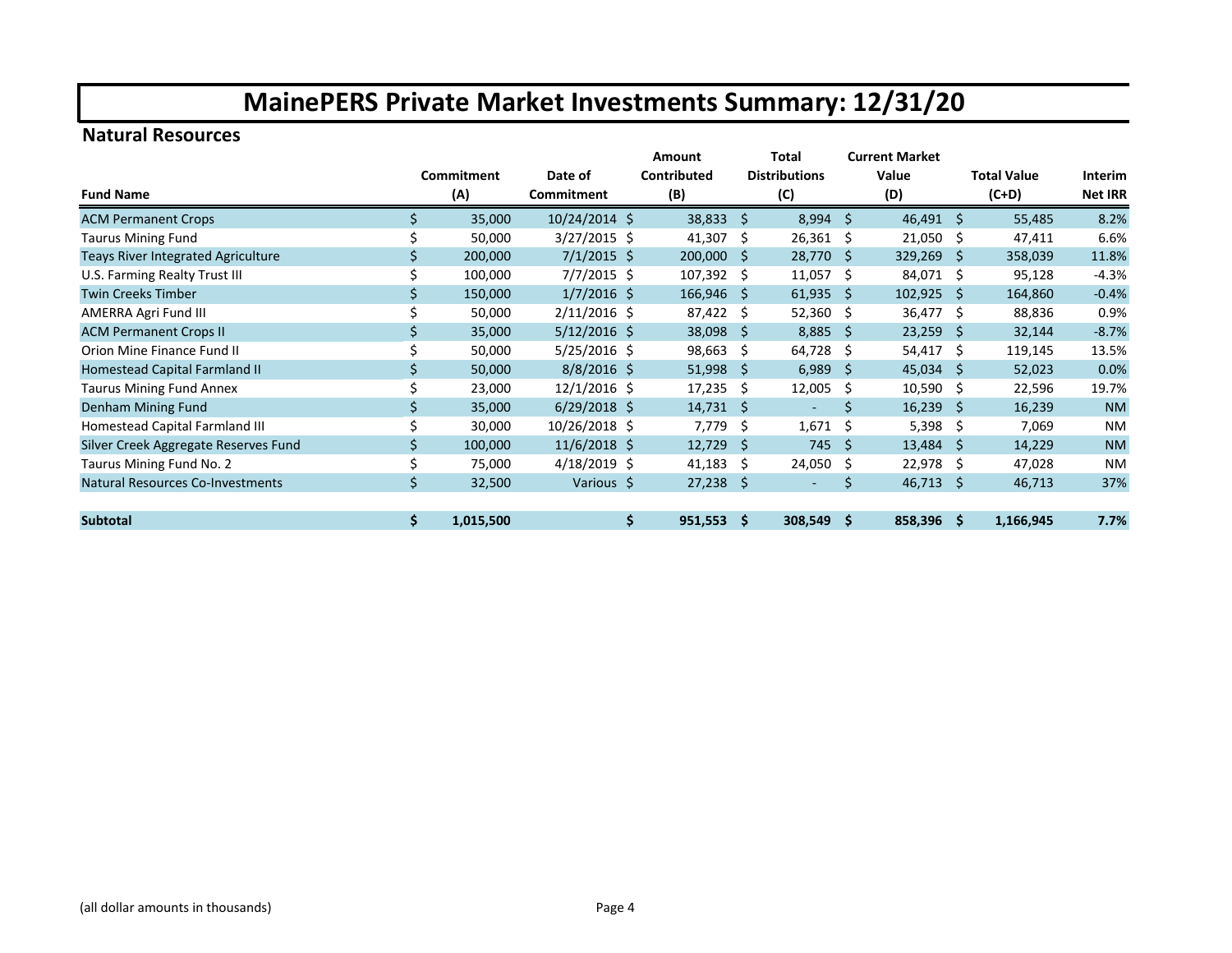### **Natural Resources**

|                                           |     |            |                | Amount<br>Total  |     |                          | <b>Current Market</b> |              |         |                    |                |
|-------------------------------------------|-----|------------|----------------|------------------|-----|--------------------------|-----------------------|--------------|---------|--------------------|----------------|
|                                           |     | Commitment | Date of        | Contributed      |     | <b>Distributions</b>     |                       | Value        |         | <b>Total Value</b> | Interim        |
| <b>Fund Name</b>                          |     | (A)        | Commitment     | (B)              |     | (C)                      | (D)                   |              | $(C+D)$ |                    | <b>Net IRR</b> |
| <b>ACM Permanent Crops</b>                | \$. | 35,000     | 10/24/2014 \$  | 38,833           | Ŝ.  | $8,994$ \$               |                       | $46,491$ \$  |         | 55,485             | 8.2%           |
| <b>Taurus Mining Fund</b>                 |     | 50,000     | $3/27/2015$ \$ | 41,307           | \$  | 26,361 \$                |                       | $21,050$ \$  |         | 47,411             | 6.6%           |
| <b>Teays River Integrated Agriculture</b> |     | 200,000    | $7/1/2015$ \$  | 200,000          | -S  | 28,770 \$                |                       | $329,269$ \$ |         | 358,039            | 11.8%          |
| U.S. Farming Realty Trust III             |     | 100,000    | $7/7/2015$ \$  | 107,392          | Ŝ.  | $11,057$ \$              |                       | 84,071 \$    |         | 95,128             | $-4.3%$        |
| <b>Twin Creeks Timber</b>                 |     | 150,000    | $1/7/2016$ \$  | $166,946$ \$     |     | $61,935$ \$              |                       | $102,925$ \$ |         | 164,860            | $-0.4%$        |
| AMERRA Agri Fund III                      |     | 50,000     | $2/11/2016$ \$ | 87,422           | Ŝ.  | $52,360$ \$              |                       | 36,477 \$    |         | 88,836             | 0.9%           |
| <b>ACM Permanent Crops II</b>             |     | 35,000     | $5/12/2016$ \$ | 38,098           | S.  | $8,885$ \$               |                       | $23,259$ \$  |         | 32,144             | $-8.7%$        |
| Orion Mine Finance Fund II                |     | 50,000     | $5/25/2016$ \$ | 98,663           | \$  | 64,728 \$                |                       | $54,417$ \$  |         | 119,145            | 13.5%          |
| Homestead Capital Farmland II             |     | 50,000     | $8/8/2016$ \$  | 51,998           | Ŝ.  | 6,989                    | - \$                  | 45,034       | -S      | 52,023             | 0.0%           |
| Taurus Mining Fund Annex                  |     | 23,000     | $12/1/2016$ \$ | 17,235           | S   | 12,005                   | -Ŝ                    | $10,590$ \$  |         | 22,596             | 19.7%          |
| Denham Mining Fund                        | Ś.  | 35,000     | $6/29/2018$ \$ | $14,731 \quad $$ |     | $\overline{\phantom{a}}$ | \$                    | $16,239$ \$  |         | 16,239             | <b>NM</b>      |
| Homestead Capital Farmland III            |     | 30,000     | 10/26/2018 \$  | 7,779            | \$  | $1,671$ \$               |                       | 5,398 \$     |         | 7,069              | <b>NM</b>      |
| Silver Creek Aggregate Reserves Fund      |     | 100,000    | $11/6/2018$ \$ | 12,729           | -\$ | $745$ \$                 |                       | $13,484$ \$  |         | 14,229             | <b>NM</b>      |
| Taurus Mining Fund No. 2                  |     | 75,000     | $4/18/2019$ \$ | 41,183           | Ŝ.  | $24,050$ \$              |                       | $22,978$ \$  |         | 47,028             | <b>NM</b>      |
| <b>Natural Resources Co-Investments</b>   | \$  | 32,500     | Various \$     | 27,238           | \$. | ۰                        | Ś                     | 46,713       | -Ś      | 46,713             | 37%            |
|                                           |     |            |                |                  |     |                          |                       |              |         |                    |                |
| <b>Subtotal</b>                           | \$  | 1,015,500  |                | \$<br>951,553    | Ŝ.  | 308,549 \$               |                       | 858,396 \$   |         | 1,166,945          | 7.7%           |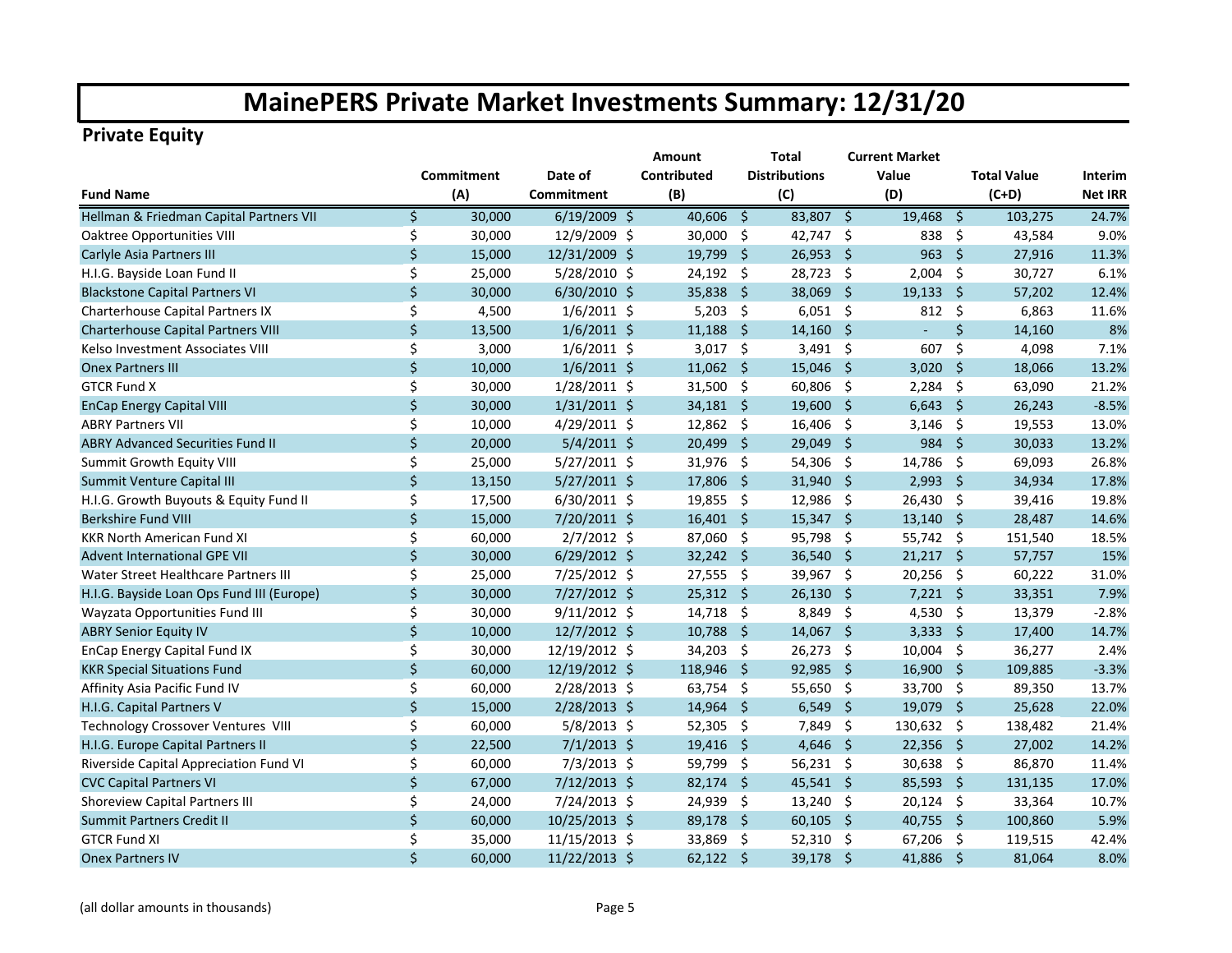### **Private Equity**

|                                           |              |            |                | Amount      |                     | Total                |                     | <b>Current Market</b> |                          |                    |                |
|-------------------------------------------|--------------|------------|----------------|-------------|---------------------|----------------------|---------------------|-----------------------|--------------------------|--------------------|----------------|
|                                           |              | Commitment | Date of        | Contributed |                     | <b>Distributions</b> |                     | Value                 |                          | <b>Total Value</b> | <b>Interim</b> |
| <b>Fund Name</b>                          |              | (A)        | Commitment     | (B)         |                     | (C)                  |                     | (D)                   |                          | $(C+D)$            | <b>Net IRR</b> |
| Hellman & Friedman Capital Partners VII   | \$           | 30,000     | $6/19/2009$ \$ | 40,606      | $\ddot{\mathsf{S}}$ | $83,807$ \$          |                     | 19,468                | $\overline{\mathcal{S}}$ | 103,275            | 24.7%          |
| <b>Oaktree Opportunities VIII</b>         | \$           | 30,000     | 12/9/2009 \$   | 30,000      | -\$                 | 42,747 \$            |                     | 838                   | - \$                     | 43,584             | 9.0%           |
| Carlyle Asia Partners III                 | \$           | 15,000     | 12/31/2009 \$  | 19,799      | -\$                 | $26,953$ \$          |                     | $963 \quad $$         |                          | 27,916             | 11.3%          |
| H.I.G. Bayside Loan Fund II               | \$           | 25,000     | 5/28/2010 \$   | 24,192      | -\$                 | 28,723 \$            |                     | 2,004                 | - \$                     | 30,727             | 6.1%           |
| <b>Blackstone Capital Partners VI</b>     | \$           | 30,000     | 6/30/2010 \$   | 35,838      | $\ddot{\mathsf{S}}$ | 38,069 \$            |                     | $19,133$ \$           |                          | 57,202             | 12.4%          |
| Charterhouse Capital Partners IX          | \$           | 4,500      | $1/6/2011$ \$  | 5,203       | -\$                 | $6,051$ \$           |                     | 812                   | -\$                      | 6,863              | 11.6%          |
| Charterhouse Capital Partners VIII        | \$           | 13,500     | $1/6/2011$ \$  | 11,188      | -\$                 | $14,160$ \$          |                     | $\sim$                | Ś.                       | 14,160             | 8%             |
| Kelso Investment Associates VIII          | \$           | 3,000      | $1/6/2011$ \$  | 3,017       | -\$                 | $3,491$ \$           |                     | 607                   | Ŝ.                       | 4,098              | 7.1%           |
| <b>Onex Partners III</b>                  | \$           | 10,000     | $1/6/2011$ \$  | $11,062$ \$ |                     | $15,046$ \$          |                     | $3,020$ \$            |                          | 18,066             | 13.2%          |
| <b>GTCR Fund X</b>                        | \$           | 30,000     | 1/28/2011 \$   | 31,500 \$   |                     | 60,806 \$            |                     | 2,284                 | - \$                     | 63,090             | 21.2%          |
| <b>EnCap Energy Capital VIII</b>          | \$           | 30,000     | $1/31/2011$ \$ | $34,181$ \$ |                     | 19,600 \$            |                     | $6,643$ \$            |                          | 26,243             | $-8.5%$        |
| <b>ABRY Partners VII</b>                  | \$           | 10,000     | 4/29/2011 \$   | 12,862 \$   |                     | 16,406 \$            |                     | $3,146$ \$            |                          | 19,553             | 13.0%          |
| <b>ABRY Advanced Securities Fund II</b>   | $\mathsf{S}$ | 20,000     | $5/4/2011$ \$  | 20,499      | -S                  | 29,049 \$            |                     | 984 \$                |                          | 30,033             | 13.2%          |
| Summit Growth Equity VIII                 | \$           | 25,000     | $5/27/2011$ \$ | 31,976 \$   |                     | $54,306$ \$          |                     | 14,786 \$             |                          | 69,093             | 26.8%          |
| Summit Venture Capital III                | \$           | 13,150     | $5/27/2011$ \$ | 17,806      | -Ś                  | 31,940 \$            |                     | 2,993                 | - \$                     | 34,934             | 17.8%          |
| H.I.G. Growth Buyouts & Equity Fund II    | \$           | 17,500     | $6/30/2011$ \$ | 19,855      | -\$                 | 12,986               | $\ddot{\mathsf{s}}$ | 26,430 \$             |                          | 39,416             | 19.8%          |
| <b>Berkshire Fund VIII</b>                | \$           | 15,000     | 7/20/2011 \$   | $16,401$ \$ |                     | 15,347               | - \$                | $13,140$ \$           |                          | 28,487             | 14.6%          |
| <b>KKR North American Fund XI</b>         | \$           | 60,000     | $2/7/2012$ \$  | 87,060      | -\$                 | 95,798 \$            |                     | 55,742 \$             |                          | 151,540            | 18.5%          |
| <b>Advent International GPE VII</b>       | $\zeta$      | 30,000     | $6/29/2012$ \$ | 32,242      | - \$                | 36,540 \$            |                     | $21,217$ \$           |                          | 57,757             | 15%            |
| Water Street Healthcare Partners III      | \$           | 25,000     | 7/25/2012 \$   | 27,555      | -\$                 | 39,967 \$            |                     | 20,256 \$             |                          | 60,222             | 31.0%          |
| H.I.G. Bayside Loan Ops Fund III (Europe) | \$           | 30,000     | $7/27/2012$ \$ | $25,312$ \$ |                     | $26,130$ \$          |                     | $7,221$ \$            |                          | 33,351             | 7.9%           |
| Wayzata Opportunities Fund III            | \$           | 30,000     | $9/11/2012$ \$ | 14,718      | -\$                 | 8,849 \$             |                     | 4,530 \$              |                          | 13,379             | $-2.8%$        |
| <b>ABRY Senior Equity IV</b>              | \$           | 10,000     | 12/7/2012 \$   | 10,788      | $\ddot{\varsigma}$  | 14,067 \$            |                     | $3,333$ \$            |                          | 17,400             | 14.7%          |
| EnCap Energy Capital Fund IX              | \$           | 30,000     | 12/19/2012 \$  | 34,203      | -\$                 | $26,273$ \$          |                     | $10,004$ \$           |                          | 36,277             | 2.4%           |
| <b>KKR Special Situations Fund</b>        | \$           | 60,000     | 12/19/2012 \$  | 118,946     | - \$                | 92,985 \$            |                     | $16,900$ \$           |                          | 109,885            | $-3.3%$        |
| Affinity Asia Pacific Fund IV             | \$           | 60,000     | 2/28/2013 \$   | 63,754 \$   |                     | 55,650 \$            |                     | 33,700 \$             |                          | 89,350             | 13.7%          |
| H.I.G. Capital Partners V                 | \$           | 15,000     | 2/28/2013 \$   | $14,964$ \$ |                     | $6,549$ \$           |                     | 19,079 \$             |                          | 25,628             | 22.0%          |
| Technology Crossover Ventures VIII        | \$           | 60,000     | $5/8/2013$ \$  | 52,305      | -\$                 | 7,849 \$             |                     | 130,632 \$            |                          | 138,482            | 21.4%          |
| H.I.G. Europe Capital Partners II         | $\zeta$      | 22,500     | $7/1/2013$ \$  | 19,416      | - \$                | 4,646                | $\ddot{\mathsf{s}}$ | $22,356$ \$           |                          | 27,002             | 14.2%          |
| Riverside Capital Appreciation Fund VI    | \$           | 60,000     | $7/3/2013$ \$  | 59,799      | -\$                 | $56,231$ \$          |                     | 30,638                | - \$                     | 86,870             | 11.4%          |
| <b>CVC Capital Partners VI</b>            | \$           | 67,000     | $7/12/2013$ \$ | 82,174      | -\$                 | 45,541 \$            |                     | 85,593                | $\ddot{\mathsf{S}}$      | 131,135            | 17.0%          |
| Shoreview Capital Partners III            | \$           | 24,000     | 7/24/2013 \$   | 24,939      | -\$                 | $13,240$ \$          |                     | 20,124                | -\$                      | 33,364             | 10.7%          |
| Summit Partners Credit II                 | \$           | 60,000     | 10/25/2013 \$  | 89,178      | -\$                 | 60,105               | $\ddot{\varsigma}$  | 40,755                | -\$                      | 100,860            | 5.9%           |
| <b>GTCR Fund XI</b>                       | \$           | 35,000     | 11/15/2013 \$  | 33,869      | -\$                 | 52,310 \$            |                     | 67,206                | -\$                      | 119,515            | 42.4%          |
| <b>Onex Partners IV</b>                   | \$           | 60,000     | 11/22/2013 \$  | $62,122$ \$ |                     | 39,178               | - \$                | 41,886 \$             |                          | 81,064             | 8.0%           |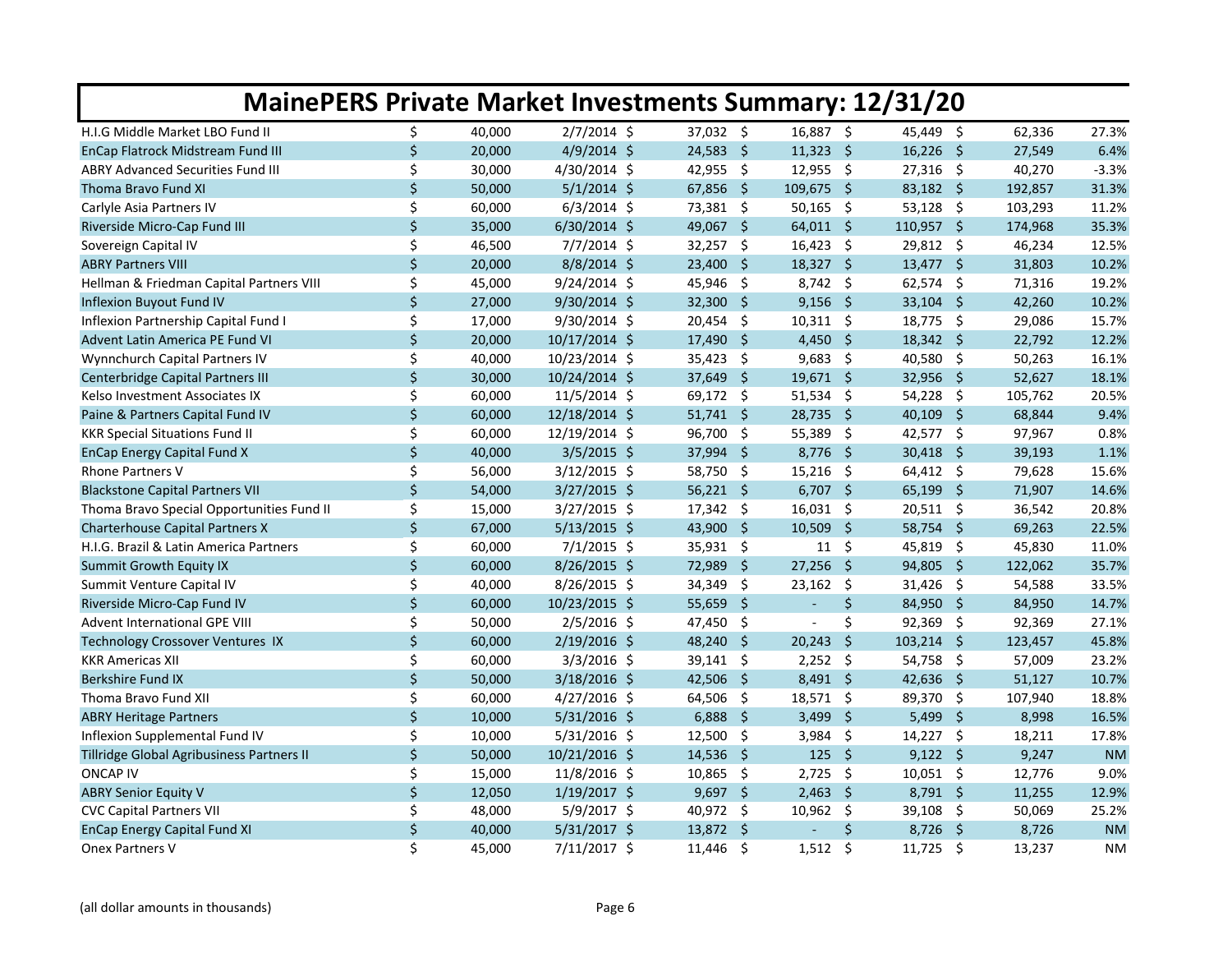| <b>MainePERS Private Market Investments Summary: 12/31/20</b> |                    |        |                |                               |                               |                              |         |           |  |  |  |  |  |
|---------------------------------------------------------------|--------------------|--------|----------------|-------------------------------|-------------------------------|------------------------------|---------|-----------|--|--|--|--|--|
| H.I.G Middle Market LBO Fund II                               | \$                 | 40,000 | $2/7/2014$ \$  | 37,032 \$                     | 16,887 \$                     | 45,449 \$                    | 62,336  | 27.3%     |  |  |  |  |  |
| EnCap Flatrock Midstream Fund III                             | \$                 | 20,000 | $4/9/2014$ \$  | 24,583 \$                     | $11,323$ \$                   | $16,226$ \$                  | 27,549  | 6.4%      |  |  |  |  |  |
| <b>ABRY Advanced Securities Fund III</b>                      | \$                 | 30,000 | $4/30/2014$ \$ | $42,955$ \$                   | $12,955$ \$                   | 27,316 \$                    | 40,270  | $-3.3%$   |  |  |  |  |  |
| Thoma Bravo Fund XI                                           | $\mathsf{\dot{S}}$ | 50,000 | $5/1/2014$ \$  | 67,856 \$                     | 109,675 \$                    | 83,182 \$                    | 192,857 | 31.3%     |  |  |  |  |  |
| Carlyle Asia Partners IV                                      | \$                 | 60,000 | $6/3/2014$ \$  | 73,381 \$                     | $50,165$ \$                   | $53,128$ \$                  | 103,293 | 11.2%     |  |  |  |  |  |
| Riverside Micro-Cap Fund III                                  | \$                 | 35,000 | $6/30/2014$ \$ | - \$<br>49,067                | $64,011$ \$                   | 110,957 \$                   | 174,968 | 35.3%     |  |  |  |  |  |
| Sovereign Capital IV                                          | \$                 | 46,500 | $7/7/2014$ \$  | 32,257<br>- \$                | $16,423$ \$                   | 29,812 \$                    | 46,234  | 12.5%     |  |  |  |  |  |
| <b>ABRY Partners VIII</b>                                     | \$                 | 20,000 | $8/8/2014$ \$  | 23,400 \$                     | $18,327$ \$                   | $13,477$ \$                  | 31,803  | 10.2%     |  |  |  |  |  |
| Hellman & Friedman Capital Partners VIII                      | \$                 | 45,000 | $9/24/2014$ \$ | $45,946$ \$                   | $8,742$ \$                    | 62,574 \$                    | 71,316  | 19.2%     |  |  |  |  |  |
| Inflexion Buyout Fund IV                                      | $\zeta$            | 27,000 | 9/30/2014 \$   | 32,300 \$                     | $9,156$ \$                    | $33,104$ \$                  | 42,260  | 10.2%     |  |  |  |  |  |
| Inflexion Partnership Capital Fund I                          | \$                 | 17,000 | 9/30/2014 \$   | 20,454 \$                     | $10,311$ \$                   | 18,775 \$                    | 29,086  | 15.7%     |  |  |  |  |  |
| Advent Latin America PE Fund VI                               | \$                 | 20,000 | 10/17/2014 \$  | $\ddot{\mathsf{s}}$<br>17,490 | 4,450 \$                      | $18,342 \div$                | 22,792  | 12.2%     |  |  |  |  |  |
| Wynnchurch Capital Partners IV                                | \$                 | 40,000 | 10/23/2014 \$  | 35,423<br>$\ddot{\varsigma}$  | $9,683$ \$                    | 40,580 \$                    | 50,263  | 16.1%     |  |  |  |  |  |
| Centerbridge Capital Partners III                             | \$                 | 30,000 | 10/24/2014 \$  | $\ddot{\mathsf{s}}$<br>37,649 | 19,671 \$                     | 32,956 \$                    | 52,627  | 18.1%     |  |  |  |  |  |
| Kelso Investment Associates IX                                | \$                 | 60,000 | $11/5/2014$ \$ | $69,172$ \$                   | 51,534 \$                     | 54,228 \$                    | 105,762 | 20.5%     |  |  |  |  |  |
| Paine & Partners Capital Fund IV                              | $\zeta$            | 60,000 | 12/18/2014 \$  | 51,741 \$                     | 28,735 \$                     | $40,109$ \$                  | 68,844  | 9.4%      |  |  |  |  |  |
| <b>KKR Special Situations Fund II</b>                         | \$                 | 60,000 | 12/19/2014 \$  | 96,700<br>- \$                | 55,389<br>$\ddot{\mathsf{s}}$ | 42,577 \$                    | 97,967  | 0.8%      |  |  |  |  |  |
| <b>EnCap Energy Capital Fund X</b>                            | \$                 | 40,000 | $3/5/2015$ \$  | $37,994$ \$                   | 8,776<br>$\ddot{\mathsf{s}}$  | 30,418 \$                    | 39,193  | 1.1%      |  |  |  |  |  |
| <b>Rhone Partners V</b>                                       | \$                 | 56,000 | $3/12/2015$ \$ | $58,750$ \$                   | $15,216$ \$                   | $64,412$ \$                  | 79,628  | 15.6%     |  |  |  |  |  |
| <b>Blackstone Capital Partners VII</b>                        | \$                 | 54,000 | $3/27/2015$ \$ | $56,221$ \$                   | $6,707$ \$                    | $65,199$ \$                  | 71,907  | 14.6%     |  |  |  |  |  |
| Thoma Bravo Special Opportunities Fund II                     | \$                 | 15,000 | $3/27/2015$ \$ | $17,342 \quad$ \$             | $16,031$ \$                   | $20,511$ \$                  | 36,542  | 20.8%     |  |  |  |  |  |
| <b>Charterhouse Capital Partners X</b>                        | \$                 | 67,000 | $5/13/2015$ \$ | 43,900 \$                     | $10,509$ \$                   | 58,754 \$                    | 69,263  | 22.5%     |  |  |  |  |  |
| H.I.G. Brazil & Latin America Partners                        | \$                 | 60,000 | $7/1/2015$ \$  | 35,931 \$                     | $11 \; \xi$                   | 45,819 \$                    | 45,830  | 11.0%     |  |  |  |  |  |
| Summit Growth Equity IX                                       | \$                 | 60,000 | 8/26/2015 \$   | $\ddot{\mathsf{s}}$<br>72,989 | $27,256$ \$                   | 94,805 \$                    | 122,062 | 35.7%     |  |  |  |  |  |
| Summit Venture Capital IV                                     | \$                 | 40,000 | 8/26/2015 \$   | -\$<br>34,349                 | $23,162$ \$                   | $31,426$ \$                  | 54,588  | 33.5%     |  |  |  |  |  |
| Riverside Micro-Cap Fund IV                                   | $\zeta$            | 60,000 | 10/23/2015 \$  | - Ś<br>55,659                 | \$<br>$\blacksquare$          | 84,950 \$                    | 84,950  | 14.7%     |  |  |  |  |  |
| Advent International GPE VIII                                 | \$                 | 50,000 | 2/5/2016 \$    | 47,450<br>- \$                | \$                            | 92,369 \$                    | 92,369  | 27.1%     |  |  |  |  |  |
| Technology Crossover Ventures IX                              | $\mathsf{S}$       | 60,000 | 2/19/2016 \$   | 48,240<br>- \$                | $\ddot{\mathsf{s}}$<br>20,243 | $103,214$ \$                 | 123,457 | 45.8%     |  |  |  |  |  |
| <b>KKR Americas XII</b>                                       | \$                 | 60,000 | $3/3/2016$ \$  | $39,141$ \$                   | $2,252$ \$                    | 54,758 \$                    | 57,009  | 23.2%     |  |  |  |  |  |
| <b>Berkshire Fund IX</b>                                      | $\zeta$            | 50,000 | 3/18/2016 \$   | 42,506 \$                     | $8,491$ \$                    | 42,636 \$                    | 51,127  | 10.7%     |  |  |  |  |  |
| Thoma Bravo Fund XII                                          | \$                 | 60,000 | $4/27/2016$ \$ | 64,506 \$                     | 18,571 \$                     | 89,370 \$                    | 107,940 | 18.8%     |  |  |  |  |  |
| <b>ABRY Heritage Partners</b>                                 | $\mathsf{\dot{S}}$ | 10,000 | $5/31/2016$ \$ | 6,888<br>- \$                 | 3,499<br>- \$                 | 5,499<br>- \$                | 8,998   | 16.5%     |  |  |  |  |  |
| Inflexion Supplemental Fund IV                                | \$                 | 10,000 | $5/31/2016$ \$ | 12,500<br>- \$                | 3,984 \$                      | $14,227$ \$                  | 18,211  | 17.8%     |  |  |  |  |  |
| Tillridge Global Agribusiness Partners II                     | \$                 | 50,000 | 10/21/2016 \$  | $14,536$ \$                   | 125 \$                        | $9,122$ \$                   | 9,247   | <b>NM</b> |  |  |  |  |  |
| <b>ONCAP IV</b>                                               | \$                 | 15,000 | 11/8/2016 \$   | - \$<br>10,865                | $\ddot{\mathsf{s}}$<br>2,725  | $10,051$ \$                  | 12,776  | 9.0%      |  |  |  |  |  |
| <b>ABRY Senior Equity V</b>                                   | \$                 | 12,050 | 1/19/2017 \$   | $9,697$ \$                    | $2,463$ \$                    | $8,791$ \$                   | 11,255  | 12.9%     |  |  |  |  |  |
| <b>CVC Capital Partners VII</b>                               | \$                 | 48,000 | $5/9/2017$ \$  | 40,972 \$                     | 10,962 \$                     | 39,108 \$                    | 50,069  | 25.2%     |  |  |  |  |  |
| <b>EnCap Energy Capital Fund XI</b>                           | \$                 | 40,000 | $5/31/2017$ \$ | 13,872 \$                     | \$                            | $8,726$ \$                   | 8,726   | <b>NM</b> |  |  |  |  |  |
| Onex Partners V                                               | Ś.                 | 45,000 | 7/11/2017 \$   | \$<br>11,446                  | \$<br>1,512                   | $\ddot{\varsigma}$<br>11,725 | 13,237  | <b>NM</b> |  |  |  |  |  |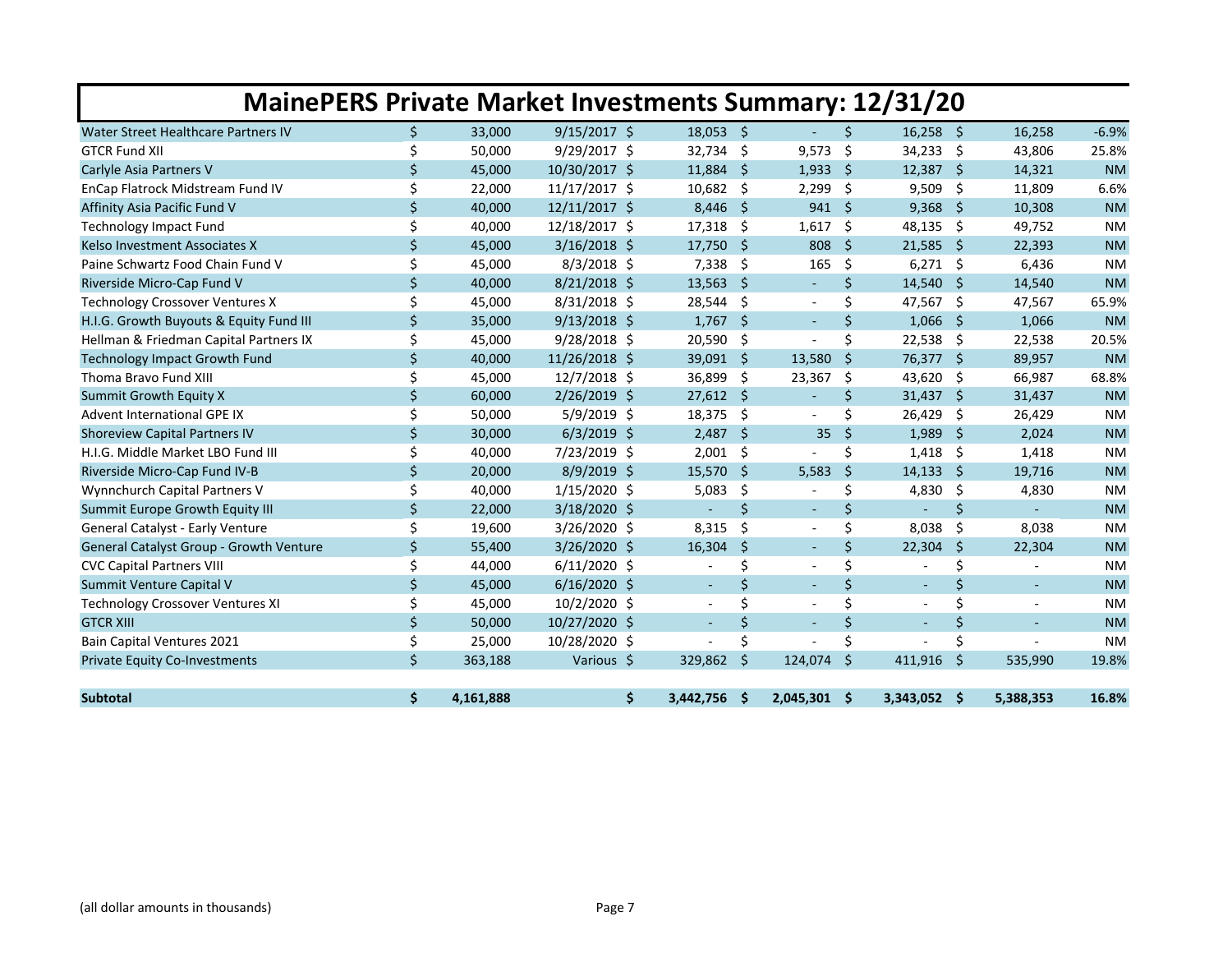|                                         |         |           | <b>MainePERS Private Market Investments Summary: 12/31/20</b> |                |      |                          |     |                          |                    |                |           |
|-----------------------------------------|---------|-----------|---------------------------------------------------------------|----------------|------|--------------------------|-----|--------------------------|--------------------|----------------|-----------|
| Water Street Healthcare Partners IV     | Ś.      | 33,000    | $9/15/2017$ \$                                                | $18,053$ \$    |      |                          | Ś.  | $16,258$ \$              |                    | 16,258         | $-6.9%$   |
| <b>GTCR Fund XII</b>                    | \$      | 50,000    | 9/29/2017 \$                                                  | 32,734         | -\$  | 9,573                    | \$  | 34,233 \$                |                    | 43,806         | 25.8%     |
| Carlyle Asia Partners V                 | \$      | 45,000    | 10/30/2017 \$                                                 | 11,884         | -\$  | 1,933                    | -\$ | 12,387 \$                |                    | 14,321         | <b>NM</b> |
| EnCap Flatrock Midstream Fund IV        | \$      | 22,000    | 11/17/2017 \$                                                 | 10,682         | -\$  | 2,299                    | \$  | 9,509                    | - \$               | 11,809         | 6.6%      |
| Affinity Asia Pacific Fund V            | \$      | 40,000    | 12/11/2017 \$                                                 | 8,446          | - \$ | $941 \;$ \$              |     | $9,368$ \$               |                    | 10,308         | <b>NM</b> |
| <b>Technology Impact Fund</b>           | \$      | 40,000    | 12/18/2017 \$                                                 | 17,318         | -\$  | 1,617                    | \$  | 48,135 \$                |                    | 49,752         | <b>NM</b> |
| Kelso Investment Associates X           | \$      | 45,000    | $3/16/2018$ \$                                                | 17,750         | - \$ | 808                      | Ŝ.  | $21,585$ \$              |                    | 22,393         | <b>NM</b> |
| Paine Schwartz Food Chain Fund V        | \$      | 45,000    | $8/3/2018$ \$                                                 | $7,338$ \$     |      | 165                      | \$  | $6,271$ \$               |                    | 6,436          | <b>NM</b> |
| Riverside Micro-Cap Fund V              | \$      | 40,000    | $8/21/2018$ \$                                                | 13,563         | -\$  | $\blacksquare$           | \$  | $14,540$ \$              |                    | 14,540         | <b>NM</b> |
| Technology Crossover Ventures X         | \$      | 45,000    | $8/31/2018$ \$                                                | 28,544         | -\$  |                          | \$  | 47,567 \$                |                    | 47,567         | 65.9%     |
| H.I.G. Growth Buyouts & Equity Fund III | \$      | 35,000    | $9/13/2018$ \$                                                | $1,767$ \$     |      | $\sim$                   | Ś.  | $1,066$ \$               |                    | 1,066          | <b>NM</b> |
| Hellman & Friedman Capital Partners IX  | \$      | 45,000    | 9/28/2018 \$                                                  | 20,590         | \$   |                          | \$  | 22,538 \$                |                    | 22,538         | 20.5%     |
| <b>Technology Impact Growth Fund</b>    | $\zeta$ | 40,000    | 11/26/2018 \$                                                 | 39,091 \$      |      | 13,580                   | Ŝ.  | 76,377 \$                |                    | 89,957         | <b>NM</b> |
| Thoma Bravo Fund XIII                   | Ś.      | 45,000    | 12/7/2018 \$                                                  | 36,899         | -\$  | 23,367                   | \$  | 43,620 \$                |                    | 66,987         | 68.8%     |
| Summit Growth Equity X                  | \$      | 60,000    | 2/26/2019 \$                                                  | $27,612$ \$    |      | $\blacksquare$           | \$  | $31,437$ \$              |                    | 31,437         | <b>NM</b> |
| <b>Advent International GPE IX</b>      | \$      | 50,000    | $5/9/2019$ \$                                                 | 18,375         | -\$  |                          | \$  | 26,429                   | - \$               | 26,429         | <b>NM</b> |
| <b>Shoreview Capital Partners IV</b>    | \$      | 30,000    | $6/3/2019$ \$                                                 | 2,487          | -\$  | 35                       | '\$ | 1,989                    | - \$               | 2,024          | <b>NM</b> |
| H.I.G. Middle Market LBO Fund III       | \$      | 40,000    | 7/23/2019 \$                                                  | $2,001$ \$     |      |                          | \$  | $1,418$ \$               |                    | 1,418          | <b>NM</b> |
| Riverside Micro-Cap Fund IV-B           | \$      | 20,000    | $8/9/2019$ \$                                                 | 15,570         | -\$  | 5,583                    | \$  | $14,133$ \$              |                    | 19,716         | <b>NM</b> |
| Wynnchurch Capital Partners V           | \$      | 40,000    | $1/15/2020$ \$                                                | 5,083          | \$   |                          | \$  | $4,830$ \$               |                    | 4,830          | <b>NM</b> |
| Summit Europe Growth Equity III         | \$      | 22,000    | 3/18/2020 \$                                                  |                | Ś.   |                          | Ś.  |                          | $\mathsf{\dot{S}}$ |                | <b>NM</b> |
| General Catalyst - Early Venture        | \$      | 19,600    | $3/26/2020$ \$                                                | 8,315          | \$   | $\sim$                   | \$  | 8,038                    | -\$                | 8,038          | <b>NM</b> |
| General Catalyst Group - Growth Venture | $\zeta$ | 55,400    | 3/26/2020 \$                                                  | 16,304         | Š.   | $\blacksquare$           | Ś.  | 22,304                   | <sup>5</sup>       | 22,304         | <b>NM</b> |
| <b>CVC Capital Partners VIII</b>        | \$      | 44,000    | $6/11/2020$ \$                                                |                | \$   |                          | \$  |                          | \$                 |                | <b>NM</b> |
| Summit Venture Capital V                | \$      | 45,000    | $6/16/2020$ \$                                                | $\sim$         | \$   | $\sim$                   | \$  | $\blacksquare$           | \$                 | $\blacksquare$ | <b>NM</b> |
| <b>Technology Crossover Ventures XI</b> | \$      | 45,000    | 10/2/2020 \$                                                  | $\blacksquare$ | Ś    |                          | Ś   | $\overline{\phantom{a}}$ | \$                 | $\blacksquare$ | <b>NM</b> |
| <b>GTCR XIII</b>                        | \$      | 50,000    | 10/27/2020 \$                                                 | $\omega$       | \$   | $\overline{\phantom{a}}$ | \$  | $\overline{\phantom{a}}$ | \$                 |                | <b>NM</b> |
| Bain Capital Ventures 2021              | \$      | 25,000    | 10/28/2020 \$                                                 |                | \$   |                          | Ś   |                          | Ś.                 |                | <b>NM</b> |
| <b>Private Equity Co-Investments</b>    | \$      | 363,188   | Various \$                                                    | 329,862        | Ŝ    | 124,074                  | Ŝ.  | 411,916                  | Ŝ.                 | 535,990        | 19.8%     |
| <b>Subtotal</b>                         | \$      | 4,161,888 | \$                                                            | 3,442,756      | \$   | 2,045,301 \$             |     | 3,343,052 \$             |                    | 5,388,353      | 16.8%     |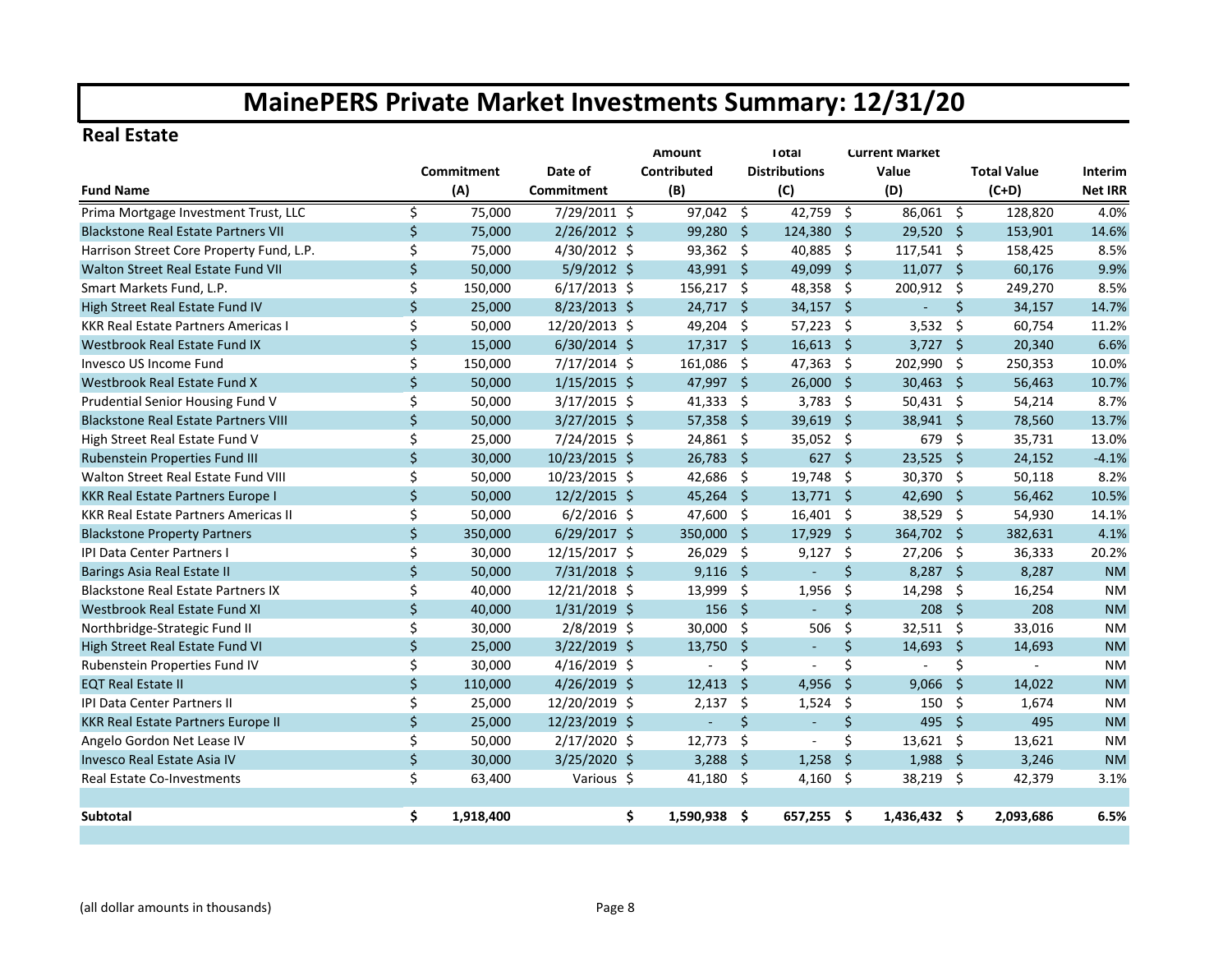#### **Real Estate**

|                                             |         |            |                | <b>Amount</b>   |               | <b>Total</b>         |                     | <b>Current Market</b> |              |                    |                |
|---------------------------------------------|---------|------------|----------------|-----------------|---------------|----------------------|---------------------|-----------------------|--------------|--------------------|----------------|
|                                             |         | Commitment | Date of        | Contributed     |               | <b>Distributions</b> |                     | Value                 |              | <b>Total Value</b> | <b>Interim</b> |
| <b>Fund Name</b>                            |         | (A)        | Commitment     | (B)             |               | (C)                  |                     | (D)                   |              | $(C+D)$            | <b>Net IRR</b> |
| Prima Mortgage Investment Trust, LLC        | \$      | 75,000     | 7/29/2011 \$   | 97,042          | -\$           | 42,759 \$            |                     | 86,061 \$             |              | 128,820            | 4.0%           |
| <b>Blackstone Real Estate Partners VII</b>  | \$      | 75,000     | $2/26/2012$ \$ | 99,280          | -\$           | 124,380 \$           |                     | 29,520 \$             |              | 153,901            | 14.6%          |
| Harrison Street Core Property Fund, L.P.    | \$      | 75,000     | 4/30/2012 \$   | 93,362 \$       |               | 40,885 \$            |                     | 117,541 \$            |              | 158,425            | 8.5%           |
| Walton Street Real Estate Fund VII          | \$      | 50,000     | $5/9/2012$ \$  | 43,991 \$       |               | 49,099               | - \$                | $11,077$ \$           |              | 60,176             | 9.9%           |
| Smart Markets Fund, L.P.                    | Ś.      | 150,000    | $6/17/2013$ \$ | 156,217         | -\$           | 48,358 \$            |                     | 200,912 \$            |              | 249,270            | 8.5%           |
| High Street Real Estate Fund IV             | $\zeta$ | 25,000     | 8/23/2013 \$   | 24,717          | -Ś            | $34,157$ \$          |                     |                       | Ś.           | 34,157             | 14.7%          |
| <b>KKR Real Estate Partners Americas I</b>  | \$      | 50,000     | 12/20/2013 \$  | 49,204 \$       |               | $57,223$ \$          |                     | 3,532                 | -Ś           | 60,754             | 11.2%          |
| Westbrook Real Estate Fund IX               | $\zeta$ | 15,000     | $6/30/2014$ \$ | $17,317$ \$     |               | $16,613$ \$          |                     | $3,727$ \$            |              | 20,340             | 6.6%           |
| Invesco US Income Fund                      | \$      | 150,000    | 7/17/2014 \$   | 161,086         | - \$          | 47,363 \$            |                     | 202,990 \$            |              | 250,353            | 10.0%          |
| Westbrook Real Estate Fund X                | \$      | 50,000     | $1/15/2015$ \$ | 47,997 \$       |               | $26,000$ \$          |                     | $30,463$ \$           |              | 56,463             | 10.7%          |
| Prudential Senior Housing Fund V            | \$      | 50,000     | $3/17/2015$ \$ | 41,333          | -\$           | $3,783$ \$           |                     | 50,431 \$             |              | 54,214             | 8.7%           |
| <b>Blackstone Real Estate Partners VIII</b> | \$      | 50,000     | $3/27/2015$ \$ | $57,358$ \$     |               | $39,619$ \$          |                     | 38,941 \$             |              | 78,560             | 13.7%          |
| High Street Real Estate Fund V              | \$      | 25,000     | 7/24/2015 \$   | 24,861          | -\$           | 35,052 \$            |                     | 679                   | -\$          | 35,731             | 13.0%          |
| Rubenstein Properties Fund III              | \$      | 30,000     | 10/23/2015 \$  | 26,783          | -\$           | $627$ \$             |                     | $23,525$ \$           |              | 24,152             | $-4.1%$        |
| Walton Street Real Estate Fund VIII         | \$      | 50,000     | 10/23/2015 \$  | 42,686          | -\$           | 19,748 \$            |                     | 30,370                | - \$         | 50,118             | 8.2%           |
| <b>KKR Real Estate Partners Europe I</b>    | \$      | 50,000     | 12/2/2015 \$   | $45,264$ \$     |               | $13,771$ \$          |                     | 42,690                | - \$         | 56,462             | 10.5%          |
| <b>KKR Real Estate Partners Americas II</b> | \$      | 50,000     | $6/2/2016$ \$  | 47,600          | -\$           | $16,401 \quad $$     |                     | 38,529 \$             |              | 54,930             | 14.1%          |
| <b>Blackstone Property Partners</b>         | $\zeta$ | 350,000    | $6/29/2017$ \$ | 350,000         | -Ś            | 17,929               | $\ddot{\mathsf{s}}$ | 364,702 \$            |              | 382,631            | 4.1%           |
| IPI Data Center Partners I                  | \$      | 30,000     | 12/15/2017 \$  | 26,029          | -\$           | $9,127$ \$           |                     | 27,206 \$             |              | 36,333             | 20.2%          |
| Barings Asia Real Estate II                 | \$      | 50,000     | 7/31/2018 \$   | $9,116$ \$      |               | L,                   | $\zeta$             | 8,287 \$              |              | 8,287              | <b>NM</b>      |
| <b>Blackstone Real Estate Partners IX</b>   | \$      | 40,000     | 12/21/2018 \$  | 13,999          | \$            | 1,956                | \$                  | 14,298                | -\$          | 16,254             | <b>NM</b>      |
| Westbrook Real Estate Fund XI               | \$      | 40,000     | $1/31/2019$ \$ | 156             | - \$          | ÷                    | \$                  | $208 \quad $$         |              | 208                | <b>NM</b>      |
| Northbridge-Strategic Fund II               | \$      | 30,000     | 2/8/2019 \$    | 30,000          | \$            | 506                  | \$                  | 32,511 \$             |              | 33,016             | <b>NM</b>      |
| High Street Real Estate Fund VI             | \$      | 25,000     | 3/22/2019 \$   | 13,750          | $\frac{1}{2}$ | $\blacksquare$       | \$                  | 14,693 \$             |              | 14,693             | <b>NM</b>      |
| Rubenstein Properties Fund IV               | \$      | 30,000     | $4/16/2019$ \$ |                 | \$            |                      | \$                  |                       | \$           |                    | <b>NM</b>      |
| <b>EQT Real Estate II</b>                   | $\zeta$ | 110,000    | 4/26/2019 \$   | 12,413          | Ŝ.            | 4,956                | $\mathsf{S}$        | 9,066                 | S.           | 14,022             | <b>NM</b>      |
| <b>IPI Data Center Partners II</b>          | \$      | 25,000     | 12/20/2019 \$  | 2,137           | Ŝ.            | 1,524                | \$                  | 150                   | - \$         | 1,674              | <b>NM</b>      |
| <b>KKR Real Estate Partners Europe II</b>   | $\zeta$ | 25,000     | 12/23/2019 \$  | ÷,              | Ś.            | $\blacksquare$       | $\zeta$             | 495                   | $\mathsf{S}$ | 495                | <b>NM</b>      |
| Angelo Gordon Net Lease IV                  | \$      | 50,000     | 2/17/2020 \$   | 12,773          | \$            | ÷,                   | Ś.                  | $13,621$ \$           |              | 13,621             | <b>NM</b>      |
| Invesco Real Estate Asia IV                 | \$      | 30,000     | 3/25/2020 \$   | 3,288           | -\$           | 1,258                | $\mathsf{\hat{S}}$  | $1,988$ \$            |              | 3,246              | <b>NM</b>      |
| <b>Real Estate Co-Investments</b>           | \$      | 63,400     | Various \$     | 41,180          | -\$           | $4,160$ \$           |                     | 38,219 \$             |              | 42,379             | 3.1%           |
|                                             |         |            |                |                 |               |                      |                     |                       |              |                    |                |
| <b>Subtotal</b>                             | \$.     | 1,918,400  |                | \$<br>1,590,938 | Ŝ.            | 657,255 \$           |                     | 1,436,432 \$          |              | 2,093,686          | 6.5%           |
|                                             |         |            |                |                 |               |                      |                     |                       |              |                    |                |